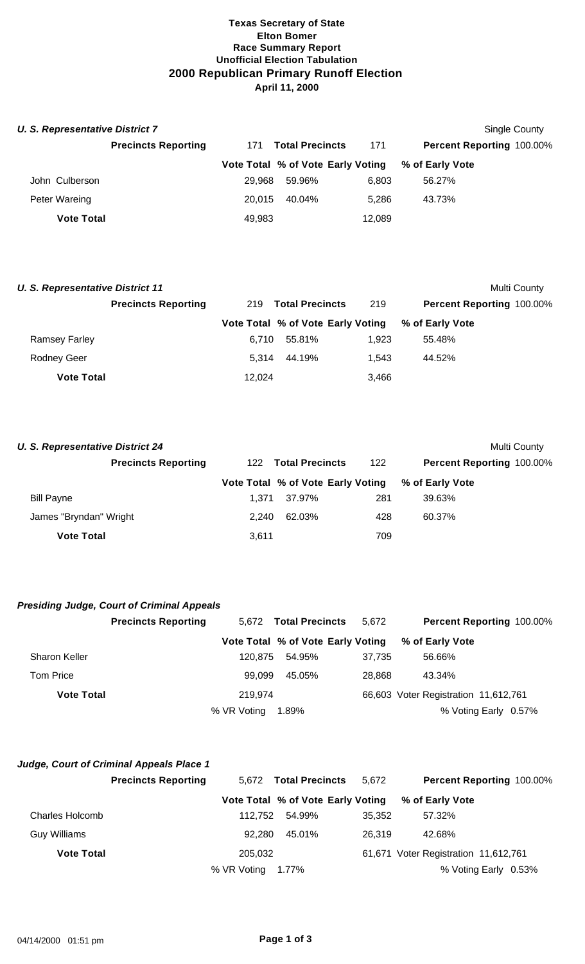## **Texas Secretary of State Elton Bomer Race Summary Report Unofficial Election Tabulation 2000 Republican Primary Runoff Election April 11, 2000**

| <b>U. S. Representative District 7</b> |                            |        |                                   |        |                           | Single County |
|----------------------------------------|----------------------------|--------|-----------------------------------|--------|---------------------------|---------------|
|                                        | <b>Precincts Reporting</b> | 171    | <b>Total Precincts</b>            | 171    | Percent Reporting 100.00% |               |
|                                        |                            |        | Vote Total % of Vote Early Voting |        | % of Early Vote           |               |
| John Culberson                         |                            | 29.968 | 59.96%                            | 6.803  | 56.27%                    |               |
| Peter Wareing                          |                            | 20.015 | 40.04%                            | 5.286  | 43.73%                    |               |
| <b>Vote Total</b>                      |                            | 49,983 |                                   | 12,089 |                           |               |

| <b>U. S. Representative District 11</b> |                            |        |                                   |       |                           | Multi County |
|-----------------------------------------|----------------------------|--------|-----------------------------------|-------|---------------------------|--------------|
|                                         | <b>Precincts Reporting</b> | 219    | <b>Total Precincts</b>            | 219   | Percent Reporting 100.00% |              |
|                                         |                            |        | Vote Total % of Vote Early Voting |       | % of Early Vote           |              |
| <b>Ramsey Farley</b>                    |                            | 6.710  | 55.81%                            | 1.923 | 55.48%                    |              |
| <b>Rodney Geer</b>                      |                            | 5.314  | 44.19%                            | 1.543 | 44.52%                    |              |
| <b>Vote Total</b>                       |                            | 12.024 |                                   | 3,466 |                           |              |

| <b>U. S. Representative District 24</b> |       |                                   |     | Multi County                     |
|-----------------------------------------|-------|-----------------------------------|-----|----------------------------------|
| <b>Precincts Reporting</b>              |       | 122 Total Precincts               | 122 | <b>Percent Reporting 100.00%</b> |
|                                         |       | Vote Total % of Vote Early Voting |     | % of Early Vote                  |
| <b>Bill Payne</b>                       | 1.371 | 37.97%                            | 281 | 39.63%                           |
| James "Bryndan" Wright                  | 2.240 | 62.03%                            | 428 | 60.37%                           |
| <b>Vote Total</b>                       | 3,611 |                                   | 709 |                                  |

# *Presiding Judge, Court of Criminal Appeals*

|                      | <b>Precincts Reporting</b> |             | 5,672 Total Precincts             | 5.672  | <b>Percent Reporting 100.00%</b>     |
|----------------------|----------------------------|-------------|-----------------------------------|--------|--------------------------------------|
|                      |                            |             | Vote Total % of Vote Early Voting |        | % of Early Vote                      |
| <b>Sharon Keller</b> |                            | 120.875     | 54.95%                            | 37,735 | 56.66%                               |
| Tom Price            |                            | 99.099      | 45.05%                            | 28.868 | 43.34%                               |
| <b>Vote Total</b>    |                            | 219.974     |                                   |        | 66,603 Voter Registration 11,612,761 |
|                      |                            | % VR Voting | 1.89%                             |        | % Voting Early 0.57%                 |

## *Judge, Court of Criminal Appeals Place 1*

|                   | <b>Precincts Reporting</b> |             | 5,672 Total Precincts | 5.672                             |                                      | Percent Reporting 100.00% |
|-------------------|----------------------------|-------------|-----------------------|-----------------------------------|--------------------------------------|---------------------------|
|                   |                            |             |                       | Vote Total % of Vote Early Voting | % of Early Vote                      |                           |
| Charles Holcomb   |                            | 112.752     | 54.99%                | 35.352                            | 57.32%                               |                           |
| Guy Williams      |                            | 92.280      | 45.01%                | 26.319                            | 42.68%                               |                           |
| <b>Vote Total</b> |                            | 205.032     |                       |                                   | 61,671 Voter Registration 11,612,761 |                           |
|                   |                            | % VR Voting | 1.77%                 |                                   |                                      | % Voting Early 0.53%      |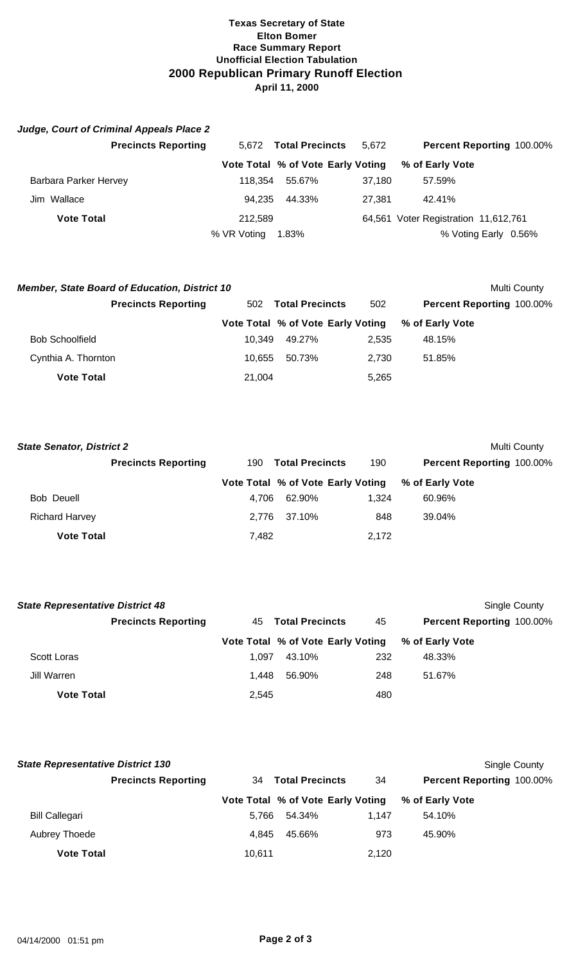## **Texas Secretary of State Elton Bomer Race Summary Report Unofficial Election Tabulation 2000 Republican Primary Runoff Election April 11, 2000**

| Judge, Court of Criminal Appeals Place 2 |             |                                   |        |                                      |
|------------------------------------------|-------------|-----------------------------------|--------|--------------------------------------|
| <b>Precincts Reporting</b>               | 5.672       | <b>Total Precincts</b>            | 5.672  | <b>Percent Reporting 100.00%</b>     |
|                                          |             | Vote Total % of Vote Early Voting |        | % of Early Vote                      |
| Barbara Parker Hervey                    | 118.354     | 55.67%                            | 37,180 | 57.59%                               |
| Jim Wallace                              | 94.235      | 44.33%                            | 27.381 | 42.41%                               |
| <b>Vote Total</b>                        | 212.589     |                                   |        | 64,561 Voter Registration 11,612,761 |
|                                          | % VR Voting | 1.83%                             |        | % Voting Early 0.56%                 |

| <b>Member, State Board of Education, District 10</b> |                            |        |                                   |       |                                  | Multi County |
|------------------------------------------------------|----------------------------|--------|-----------------------------------|-------|----------------------------------|--------------|
|                                                      | <b>Precincts Reporting</b> | 502    | <b>Total Precincts</b>            | 502   | <b>Percent Reporting 100.00%</b> |              |
|                                                      |                            |        | Vote Total % of Vote Early Voting |       | % of Early Vote                  |              |
| <b>Bob Schoolfield</b>                               |                            | 10.349 | 49.27%                            | 2.535 | 48.15%                           |              |
| Cynthia A. Thornton                                  |                            | 10.655 | 50.73%                            | 2.730 | 51.85%                           |              |
| <b>Vote Total</b>                                    |                            | 21,004 |                                   | 5,265 |                                  |              |

| <b>State Senator, District 2</b> |                            |       |                                   |       |                                  | Multi County |
|----------------------------------|----------------------------|-------|-----------------------------------|-------|----------------------------------|--------------|
|                                  | <b>Precincts Reporting</b> |       | 190 Total Precincts               | 190   | <b>Percent Reporting 100.00%</b> |              |
|                                  |                            |       | Vote Total % of Vote Early Voting |       | % of Early Vote                  |              |
| Bob Deuell                       |                            | 4.706 | 62.90%                            | 1.324 | 60.96%                           |              |
| <b>Richard Harvey</b>            |                            | 2.776 | 37.10%                            | 848   | 39.04%                           |              |
| <b>Vote Total</b>                |                            | 7,482 |                                   | 2,172 |                                  |              |

| <b>State Representative District 48</b> |                            |       |                                   |     | Single County             |
|-----------------------------------------|----------------------------|-------|-----------------------------------|-----|---------------------------|
|                                         | <b>Precincts Reporting</b> |       | 45 Total Precincts                | 45  | Percent Reporting 100.00% |
|                                         |                            |       | Vote Total % of Vote Early Voting |     | % of Early Vote           |
| Scott Loras                             |                            | 1.097 | 43.10%                            | 232 | 48.33%                    |
| Jill Warren                             |                            | 1.448 | 56.90%                            | 248 | 51.67%                    |
| <b>Vote Total</b>                       |                            | 2,545 |                                   | 480 |                           |

| <b>State Representative District 130</b> |                            |        |                                   |       |                           | Single County |
|------------------------------------------|----------------------------|--------|-----------------------------------|-------|---------------------------|---------------|
|                                          | <b>Precincts Reporting</b> | 34     | <b>Total Precincts</b>            | 34    | Percent Reporting 100.00% |               |
|                                          |                            |        | Vote Total % of Vote Early Voting |       | % of Early Vote           |               |
| <b>Bill Callegari</b>                    |                            | 5.766  | 54.34%                            | 1.147 | 54.10%                    |               |
| Aubrey Thoede                            |                            | 4.845  | 45.66%                            | 973   | 45.90%                    |               |
| <b>Vote Total</b>                        |                            | 10.611 |                                   | 2,120 |                           |               |